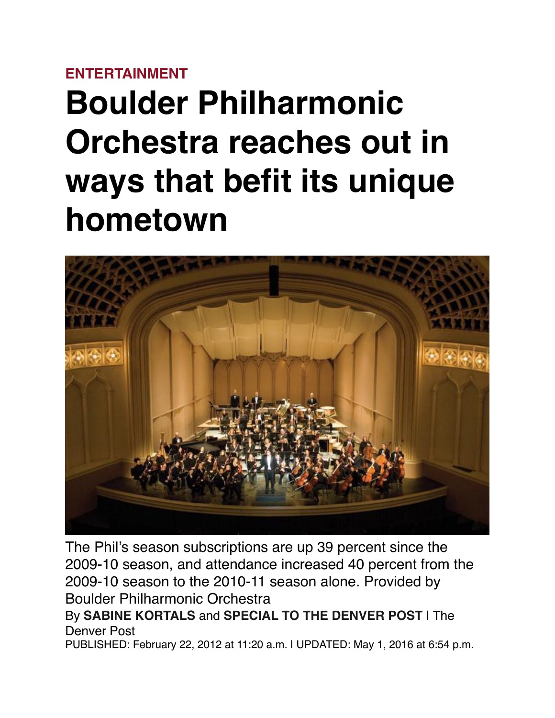## **[ENTERTAINMENT](https://www.denverpost.com/entertainment/)**

## **Boulder Philharmonic Orchestra reaches out in ways that befit its unique hometown**



The Phil's season subscriptions are up 39 percent since the 2009-10 season, and attendance increased 40 percent from the 2009-10 season to the 2010-11 season alone. Provided by Boulder Philharmonic Orchestra By **[SABINE KORTALS](https://www.denverpost.com/author/sabine-kortals/)** and **[SPECIAL TO THE DENVER POST](https://www.denverpost.com/author/special-to-the-denver-post/)** | The

Denver Post

PUBLISHED: February 22, 2012 at 11:20 a.m. | UPDATED: May 1, 2016 at 6:54 p.m.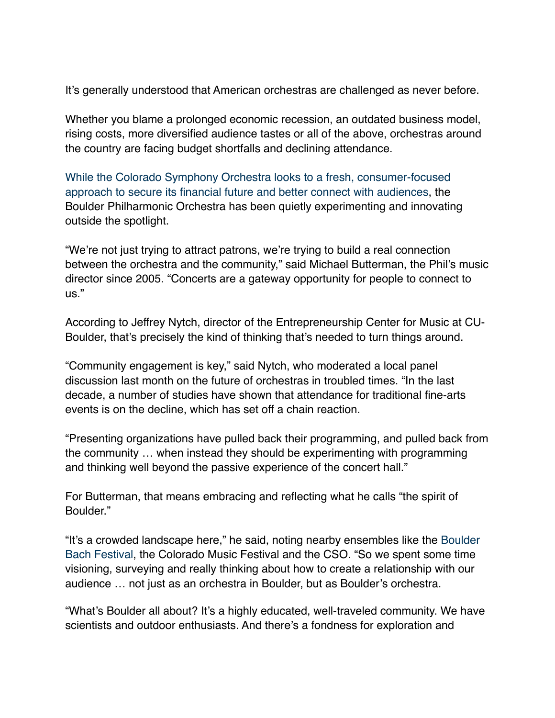It's generally understood that American orchestras are challenged as never before.

Whether you blame a prolonged economic recession, an outdated business model, rising costs, more diversified audience tastes or all of the above, orchestras around the country are facing budget shortfalls and declining attendance.

[While the Colorado Symphony Orchestra looks to a fresh, consumer-focused](http://www.denverpost.com/classicalmusic)  [approach to secure its financial future and better connect with audiences,](http://www.denverpost.com/classicalmusic) the Boulder Philharmonic Orchestra has been quietly experimenting and innovating outside the spotlight.

"We're not just trying to attract patrons, we're trying to build a real connection between the orchestra and the community," said Michael Butterman, the Phil's music director since 2005. "Concerts are a gateway opportunity for people to connect to us."

According to Jeffrey Nytch, director of the Entrepreneurship Center for Music at CU-Boulder, that's precisely the kind of thinking that's needed to turn things around.

"Community engagement is key," said Nytch, who moderated a local panel discussion last month on the future of orchestras in troubled times. "In the last decade, a number of studies have shown that attendance for traditional fine-arts events is on the decline, which has set off a chain reaction.

"Presenting organizations have pulled back their programming, and pulled back from the community … when instead they should be experimenting with programming and thinking well beyond the passive experience of the concert hall."

For Butterman, that means embracing and reflecting what he calls "the spirit of Boulder."

"It's a crowded landscape here," he said, noting nearby ensembles like the [Boulder](http://www.denverpost.com/music/ci_19973244)  [Bach Festival](http://www.denverpost.com/music/ci_19973244), the Colorado Music Festival and the CSO. "So we spent some time visioning, surveying and really thinking about how to create a relationship with our audience … not just as an orchestra in Boulder, but as Boulder's orchestra.

"What's Boulder all about? It's a highly educated, well-traveled community. We have scientists and outdoor enthusiasts. And there's a fondness for exploration and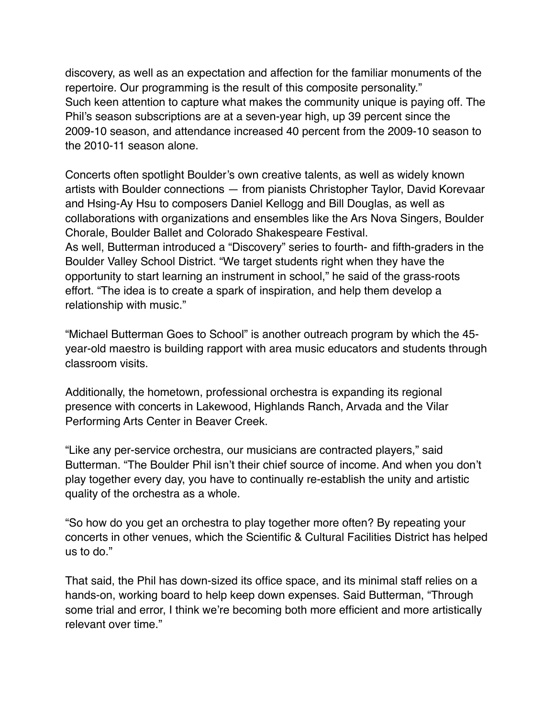discovery, as well as an expectation and affection for the familiar monuments of the repertoire. Our programming is the result of this composite personality." Such keen attention to capture what makes the community unique is paying off. The Phil's season subscriptions are at a seven-year high, up 39 percent since the 2009-10 season, and attendance increased 40 percent from the 2009-10 season to the 2010-11 season alone.

Concerts often spotlight Boulder's own creative talents, as well as widely known artists with Boulder connections — from pianists Christopher Taylor, David Korevaar and Hsing-Ay Hsu to composers Daniel Kellogg and Bill Douglas, as well as collaborations with organizations and ensembles like the Ars Nova Singers, Boulder Chorale, Boulder Ballet and Colorado Shakespeare Festival. As well, Butterman introduced a "Discovery" series to fourth- and fifth-graders in the Boulder Valley School District. "We target students right when they have the opportunity to start learning an instrument in school," he said of the grass-roots effort. "The idea is to create a spark of inspiration, and help them develop a relationship with music."

"Michael Butterman Goes to School" is another outreach program by which the 45 year-old maestro is building rapport with area music educators and students through classroom visits.

Additionally, the hometown, professional orchestra is expanding its regional presence with concerts in Lakewood, Highlands Ranch, Arvada and the Vilar Performing Arts Center in Beaver Creek.

"Like any per-service orchestra, our musicians are contracted players," said Butterman. "The Boulder Phil isn't their chief source of income. And when you don't play together every day, you have to continually re-establish the unity and artistic quality of the orchestra as a whole.

"So how do you get an orchestra to play together more often? By repeating your concerts in other venues, which the Scientific & Cultural Facilities District has helped us to do."

That said, the Phil has down-sized its office space, and its minimal staff relies on a hands-on, working board to help keep down expenses. Said Butterman, "Through some trial and error, I think we're becoming both more efficient and more artistically relevant over time."